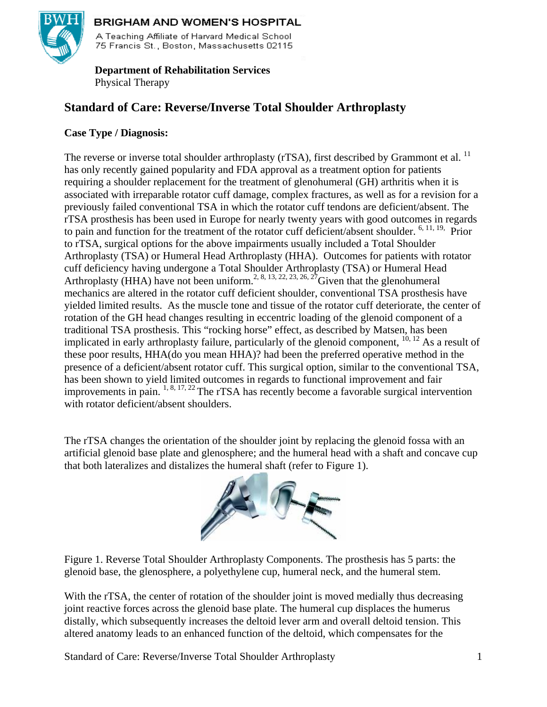

# BRIGHAM AND WOMEN'S HOSPITAL

A Teaching Affiliate of Harvard Medical School 75 Francis St., Boston, Massachusetts 02115

# **Department of Rehabilitation Services**  Physical Therapy

# **Standard of Care: Reverse/Inverse Total Shoulder Arthroplasty**

# **Case Type / Diagnosis:**

The reverse or inverse total shoulder arthroplasty (rTSA), first described by Grammont et al. <sup>11</sup> has only recently gained popularity and FDA approval as a treatment option for patients requiring a shoulder replacement for the treatment of glenohumeral (GH) arthritis when it is associated with irreparable rotator cuff damage, complex fractures, as well as for a revision for a previously failed conventional TSA in which the rotator cuff tendons are deficient/absent. The rTSA prosthesis has been used in Europe for nearly twenty years with good outcomes in regards to pain and function for the treatment of the rotator cuff deficient/absent shoulder.  $6, 11, 19$ , Prior to rTSA, surgical options for the above impairments usually included a Total Shoulder Arthroplasty (TSA) or Humeral Head Arthroplasty (HHA). Outcomes for patients with rotator cuff deficiency having undergone a Total Shoulder Arthroplasty (TSA) or Humeral Head Arthroplasty (HHA) have not been uniform.<sup>2, 8, 13, 22, 23, 26, 27</sup>Given that the glenohumeral mechanics are altered in the rotator cuff deficient shoulder, conventional TSA prosthesis have yielded limited results. As the muscle tone and tissue of the rotator cuff deteriorate, the center of rotation of the GH head changes resulting in eccentric loading of the glenoid component of a traditional TSA prosthesis. This "rocking horse" effect, as described by Matsen, has been implicated in early arthroplasty failure, particularly of the glenoid component,  $^{10, 12}$  As a result of these poor results, HHA(do you mean HHA)? had been the preferred operative method in the presence of a deficient/absent rotator cuff. This surgical option, similar to the conventional TSA, has been shown to yield limited outcomes in regards to functional improvement and fair improvements in pain.  $^{1, 8, 17, 22}$  The rTSA has recently become a favorable surgical intervention with rotator deficient/absent shoulders.

The rTSA changes the orientation of the shoulder joint by replacing the glenoid fossa with an artificial glenoid base plate and glenosphere; and the humeral head with a shaft and concave cup that both lateralizes and distalizes the humeral shaft (refer to Figure 1).



Figure 1. Reverse Total Shoulder Arthroplasty Components. The prosthesis has 5 parts: the glenoid base, the glenosphere, a polyethylene cup, humeral neck, and the humeral stem.

With the rTSA, the center of rotation of the shoulder joint is moved medially thus decreasing joint reactive forces across the glenoid base plate. The humeral cup displaces the humerus distally, which subsequently increases the deltoid lever arm and overall deltoid tension. This altered anatomy leads to an enhanced function of the deltoid, which compensates for the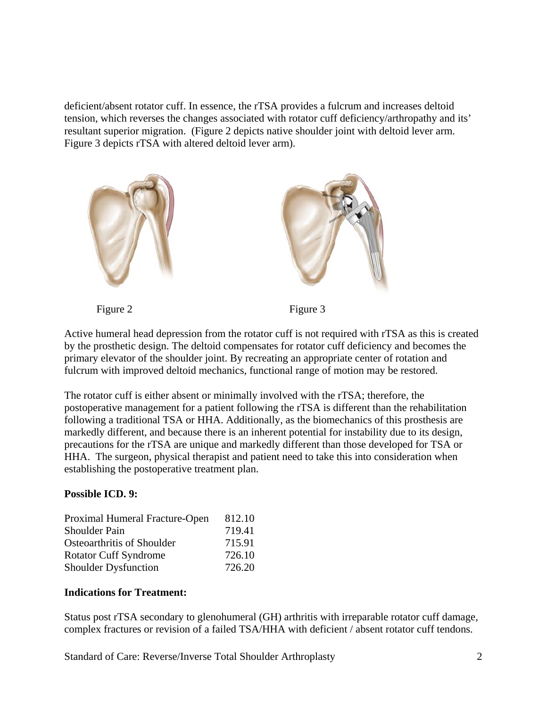deficient/absent rotator cuff. In essence, the rTSA provides a fulcrum and increases deltoid tension, which reverses the changes associated with rotator cuff deficiency/arthropathy and its' resultant superior migration. (Figure 2 depicts native shoulder joint with deltoid lever arm. Figure 3 depicts rTSA with altered deltoid lever arm).



Active humeral head depression from the rotator cuff is not required with rTSA as this is created by the prosthetic design. The deltoid compensates for rotator cuff deficiency and becomes the primary elevator of the shoulder joint. By recreating an appropriate center of rotation and fulcrum with improved deltoid mechanics, functional range of motion may be restored.

The rotator cuff is either absent or minimally involved with the rTSA; therefore, the postoperative management for a patient following the rTSA is different than the rehabilitation following a traditional TSA or HHA. Additionally, as the biomechanics of this prosthesis are markedly different, and because there is an inherent potential for instability due to its design, precautions for the rTSA are unique and markedly different than those developed for TSA or HHA. The surgeon, physical therapist and patient need to take this into consideration when establishing the postoperative treatment plan.

# **Possible ICD. 9:**

| Proximal Humeral Fracture-Open | 812.10 |
|--------------------------------|--------|
| <b>Shoulder Pain</b>           | 719.41 |
| Osteoarthritis of Shoulder     | 715.91 |
| <b>Rotator Cuff Syndrome</b>   | 726.10 |
| <b>Shoulder Dysfunction</b>    | 726.20 |

### **Indications for Treatment:**

Status post rTSA secondary to glenohumeral (GH) arthritis with irreparable rotator cuff damage, complex fractures or revision of a failed TSA/HHA with deficient / absent rotator cuff tendons.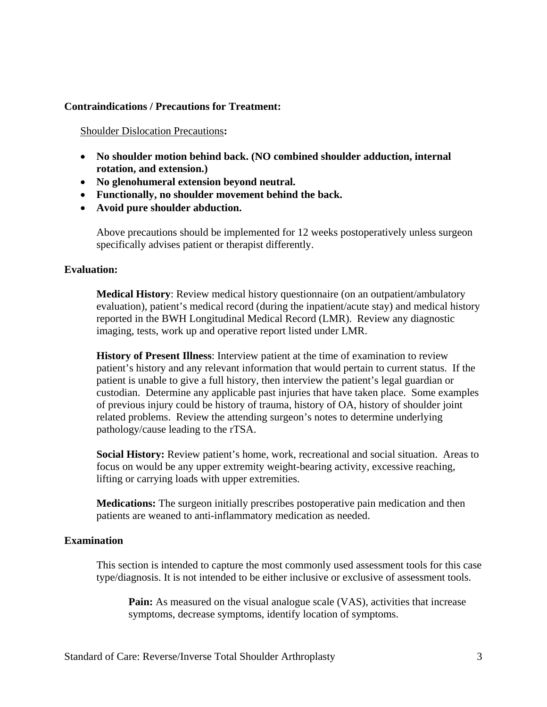## **Contraindications / Precautions for Treatment:**

Shoulder Dislocation Precautions**:** 

- **No shoulder motion behind back. (NO combined shoulder adduction, internal rotation, and extension.)**
- **No glenohumeral extension beyond neutral.**
- **Functionally, no shoulder movement behind the back.**
- **Avoid pure shoulder abduction.**

Above precautions should be implemented for 12 weeks postoperatively unless surgeon specifically advises patient or therapist differently.

### **Evaluation:**

**Medical History**: Review medical history questionnaire (on an outpatient/ambulatory evaluation), patient's medical record (during the inpatient/acute stay) and medical history reported in the BWH Longitudinal Medical Record (LMR). Review any diagnostic imaging, tests, work up and operative report listed under LMR.

**History of Present Illness**: Interview patient at the time of examination to review patient's history and any relevant information that would pertain to current status. If the patient is unable to give a full history, then interview the patient's legal guardian or custodian. Determine any applicable past injuries that have taken place. Some examples of previous injury could be history of trauma, history of OA, history of shoulder joint related problems. Review the attending surgeon's notes to determine underlying pathology/cause leading to the rTSA.

**Social History:** Review patient's home, work, recreational and social situation. Areas to focus on would be any upper extremity weight-bearing activity, excessive reaching, lifting or carrying loads with upper extremities.

**Medications:** The surgeon initially prescribes postoperative pain medication and then patients are weaned to anti-inflammatory medication as needed.

### **Examination**

This section is intended to capture the most commonly used assessment tools for this case type/diagnosis. It is not intended to be either inclusive or exclusive of assessment tools.

**Pain:** As measured on the visual analogue scale (VAS), activities that increase symptoms, decrease symptoms, identify location of symptoms.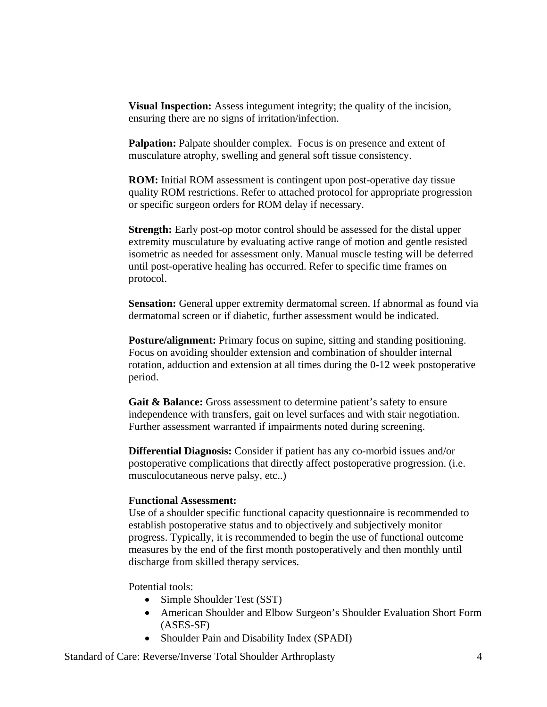**Visual Inspection:** Assess integument integrity; the quality of the incision, ensuring there are no signs of irritation/infection.

**Palpation:** Palpate shoulder complex. Focus is on presence and extent of musculature atrophy, swelling and general soft tissue consistency.

**ROM:** Initial ROM assessment is contingent upon post-operative day tissue quality ROM restrictions. Refer to attached protocol for appropriate progression or specific surgeon orders for ROM delay if necessary.

**Strength:** Early post-op motor control should be assessed for the distal upper extremity musculature by evaluating active range of motion and gentle resisted isometric as needed for assessment only. Manual muscle testing will be deferred until post-operative healing has occurred. Refer to specific time frames on protocol.

**Sensation:** General upper extremity dermatomal screen. If abnormal as found via dermatomal screen or if diabetic, further assessment would be indicated.

**Posture/alignment:** Primary focus on supine, sitting and standing positioning. Focus on avoiding shoulder extension and combination of shoulder internal rotation, adduction and extension at all times during the 0-12 week postoperative period.

Gait & Balance: Gross assessment to determine patient's safety to ensure independence with transfers, gait on level surfaces and with stair negotiation. Further assessment warranted if impairments noted during screening.

**Differential Diagnosis:** Consider if patient has any co-morbid issues and/or postoperative complications that directly affect postoperative progression. (i.e. musculocutaneous nerve palsy, etc..)

### **Functional Assessment:**

Use of a shoulder specific functional capacity questionnaire is recommended to establish postoperative status and to objectively and subjectively monitor progress. Typically, it is recommended to begin the use of functional outcome measures by the end of the first month postoperatively and then monthly until discharge from skilled therapy services.

Potential tools:

- Simple Shoulder Test (SST)
- American Shoulder and Elbow Surgeon's Shoulder Evaluation Short Form (ASES-SF)
- Shoulder Pain and Disability Index (SPADI)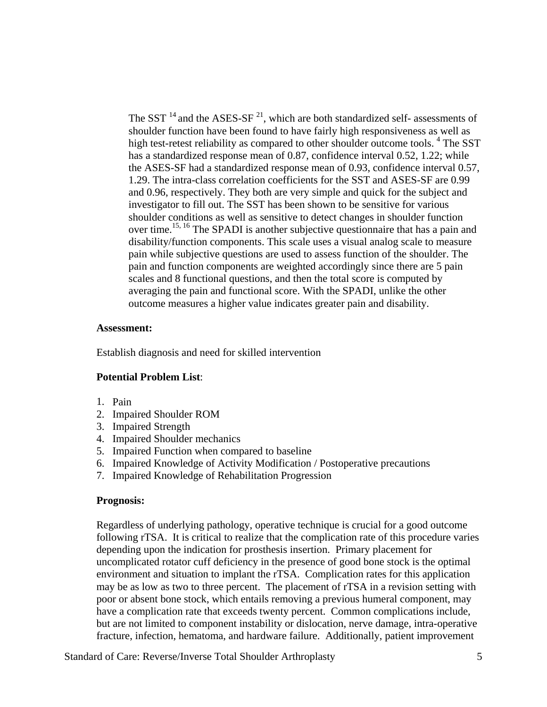The SST  $^{14}$  and the ASES-SF  $^{21}$ , which are both standardized self- assessments of shoulder function have been found to have fairly high responsiveness as well as high test-retest reliability as compared to other shoulder outcome tools.<sup>4</sup> The SST has a standardized response mean of 0.87, confidence interval 0.52, 1.22; while the ASES-SF had a standardized response mean of 0.93, confidence interval 0.57, 1.29. The intra-class correlation coefficients for the SST and ASES-SF are 0.99 and 0.96, respectively. They both are very simple and quick for the subject and investigator to fill out. The SST has been shown to be sensitive for various shoulder conditions as well as sensitive to detect changes in shoulder function over time.<sup>15, 16</sup> The SPADI is another subjective questionnaire that has a pain and disability/function components. This scale uses a visual analog scale to measure pain while subjective questions are used to assess function of the shoulder. The pain and function components are weighted accordingly since there are 5 pain scales and 8 functional questions, and then the total score is computed by averaging the pain and functional score. With the SPADI, unlike the other outcome measures a higher value indicates greater pain and disability.

#### **Assessment:**

Establish diagnosis and need for skilled intervention

# **Potential Problem List**:

- 1. Pain
- 2. Impaired Shoulder ROM
- 3. Impaired Strength
- 4. Impaired Shoulder mechanics
- 5. Impaired Function when compared to baseline
- 6. Impaired Knowledge of Activity Modification / Postoperative precautions
- 7. Impaired Knowledge of Rehabilitation Progression

### **Prognosis:**

Regardless of underlying pathology, operative technique is crucial for a good outcome following rTSA. It is critical to realize that the complication rate of this procedure varies depending upon the indication for prosthesis insertion. Primary placement for uncomplicated rotator cuff deficiency in the presence of good bone stock is the optimal environment and situation to implant the rTSA. Complication rates for this application may be as low as two to three percent. The placement of rTSA in a revision setting with poor or absent bone stock, which entails removing a previous humeral component, may have a complication rate that exceeds twenty percent. Common complications include, but are not limited to component instability or dislocation, nerve damage, intra-operative fracture, infection, hematoma, and hardware failure. Additionally, patient improvement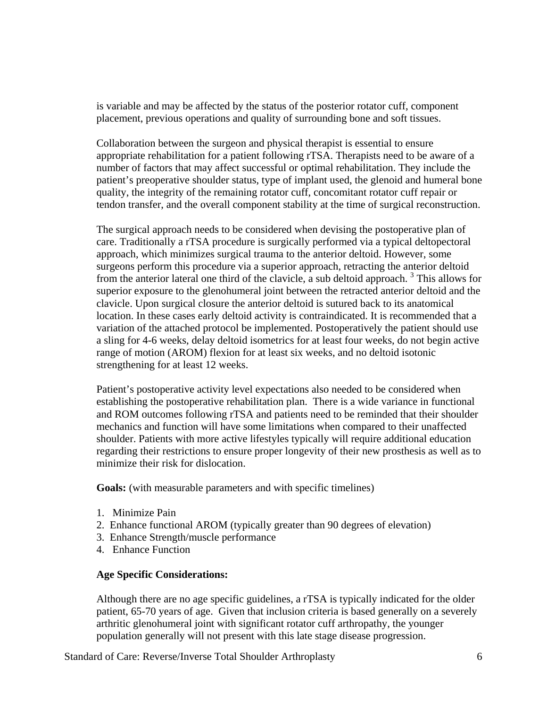is variable and may be affected by the status of the posterior rotator cuff, component placement, previous operations and quality of surrounding bone and soft tissues.

Collaboration between the surgeon and physical therapist is essential to ensure appropriate rehabilitation for a patient following rTSA. Therapists need to be aware of a number of factors that may affect successful or optimal rehabilitation. They include the patient's preoperative shoulder status, type of implant used, the glenoid and humeral bone quality, the integrity of the remaining rotator cuff, concomitant rotator cuff repair or tendon transfer, and the overall component stability at the time of surgical reconstruction.

The surgical approach needs to be considered when devising the postoperative plan of care. Traditionally a rTSA procedure is surgically performed via a typical deltopectoral approach, which minimizes surgical trauma to the anterior deltoid. However, some surgeons perform this procedure via a superior approach, retracting the anterior deltoid from the anterior lateral one third of the clavicle, a sub deltoid approach.<sup>3</sup> This allows for superior exposure to the glenohumeral joint between the retracted anterior deltoid and the clavicle. Upon surgical closure the anterior deltoid is sutured back to its anatomical location. In these cases early deltoid activity is contraindicated. It is recommended that a variation of the attached protocol be implemented. Postoperatively the patient should use a sling for 4-6 weeks, delay deltoid isometrics for at least four weeks, do not begin active range of motion (AROM) flexion for at least six weeks, and no deltoid isotonic strengthening for at least 12 weeks.

Patient's postoperative activity level expectations also needed to be considered when establishing the postoperative rehabilitation plan. There is a wide variance in functional and ROM outcomes following rTSA and patients need to be reminded that their shoulder mechanics and function will have some limitations when compared to their unaffected shoulder. Patients with more active lifestyles typically will require additional education regarding their restrictions to ensure proper longevity of their new prosthesis as well as to minimize their risk for dislocation.

**Goals:** (with measurable parameters and with specific timelines)

- 1. Minimize Pain
- 2. Enhance functional AROM (typically greater than 90 degrees of elevation)
- 3. Enhance Strength/muscle performance
- 4. Enhance Function

#### **Age Specific Considerations:**

Although there are no age specific guidelines, a rTSA is typically indicated for the older patient, 65-70 years of age. Given that inclusion criteria is based generally on a severely arthritic glenohumeral joint with significant rotator cuff arthropathy, the younger population generally will not present with this late stage disease progression.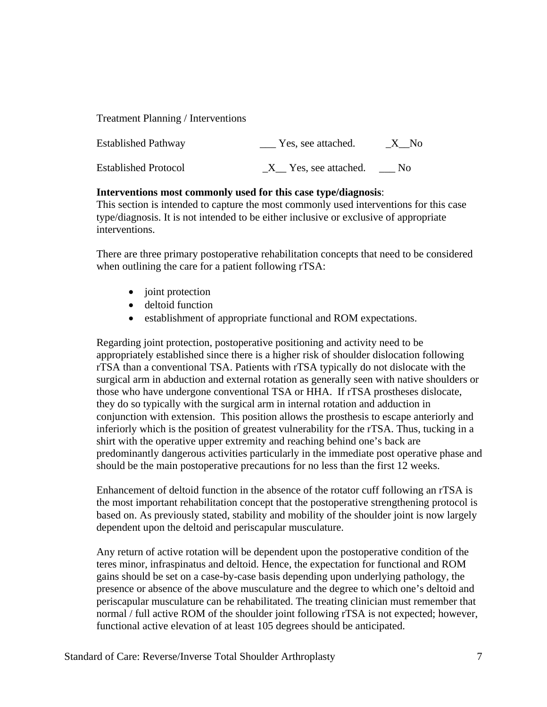Treatment Planning / Interventions

| <b>Established Pathway</b>  | Yes, see attached.   | $X$ No  |
|-----------------------------|----------------------|---------|
| <b>Established Protocol</b> | X Yes, see attached. | $N_{0}$ |

### **Interventions most commonly used for this case type/diagnosis**:

This section is intended to capture the most commonly used interventions for this case type/diagnosis. It is not intended to be either inclusive or exclusive of appropriate interventions.

There are three primary postoperative rehabilitation concepts that need to be considered when outlining the care for a patient following rTSA:

- joint protection
- deltoid function
- establishment of appropriate functional and ROM expectations.

Regarding joint protection, postoperative positioning and activity need to be appropriately established since there is a higher risk of shoulder dislocation following rTSA than a conventional TSA. Patients with rTSA typically do not dislocate with the surgical arm in abduction and external rotation as generally seen with native shoulders or those who have undergone conventional TSA or HHA. If rTSA prostheses dislocate, they do so typically with the surgical arm in internal rotation and adduction in conjunction with extension. This position allows the prosthesis to escape anteriorly and inferiorly which is the position of greatest vulnerability for the rTSA. Thus, tucking in a shirt with the operative upper extremity and reaching behind one's back are predominantly dangerous activities particularly in the immediate post operative phase and should be the main postoperative precautions for no less than the first 12 weeks.

Enhancement of deltoid function in the absence of the rotator cuff following an rTSA is the most important rehabilitation concept that the postoperative strengthening protocol is based on. As previously stated, stability and mobility of the shoulder joint is now largely dependent upon the deltoid and periscapular musculature.

Any return of active rotation will be dependent upon the postoperative condition of the teres minor, infraspinatus and deltoid. Hence, the expectation for functional and ROM gains should be set on a case-by-case basis depending upon underlying pathology, the presence or absence of the above musculature and the degree to which one's deltoid and periscapular musculature can be rehabilitated. The treating clinician must remember that normal / full active ROM of the shoulder joint following rTSA is not expected; however, functional active elevation of at least 105 degrees should be anticipated.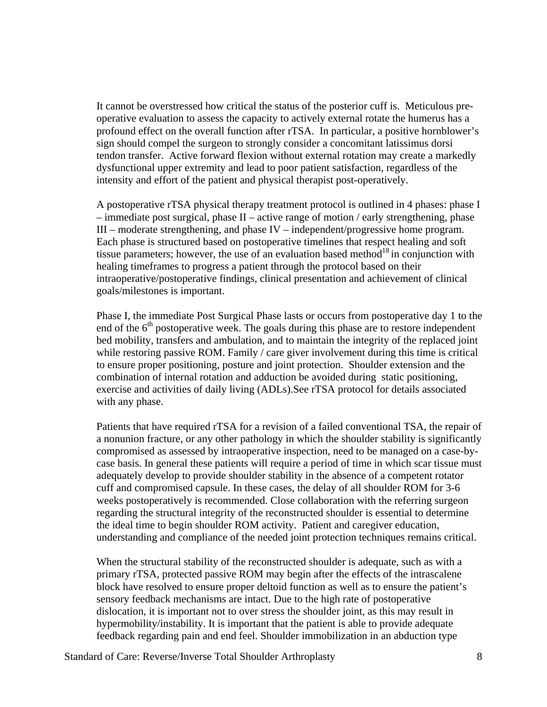It cannot be overstressed how critical the status of the posterior cuff is. Meticulous preoperative evaluation to assess the capacity to actively external rotate the humerus has a profound effect on the overall function after rTSA. In particular, a positive hornblower's sign should compel the surgeon to strongly consider a concomitant latissimus dorsi tendon transfer. Active forward flexion without external rotation may create a markedly dysfunctional upper extremity and lead to poor patient satisfaction, regardless of the intensity and effort of the patient and physical therapist post-operatively.

A postoperative rTSA physical therapy treatment protocol is outlined in 4 phases: phase I – immediate post surgical, phase II – active range of motion / early strengthening, phase III – moderate strengthening, and phase IV – independent/progressive home program. Each phase is structured based on postoperative timelines that respect healing and soft tissue parameters; however, the use of an evaluation based method<sup>18</sup> in conjunction with healing timeframes to progress a patient through the protocol based on their intraoperative/postoperative findings, clinical presentation and achievement of clinical goals/milestones is important.

Phase I, the immediate Post Surgical Phase lasts or occurs from postoperative day 1 to the end of the  $6<sup>th</sup>$  postoperative week. The goals during this phase are to restore independent bed mobility, transfers and ambulation, and to maintain the integrity of the replaced joint while restoring passive ROM. Family / care giver involvement during this time is critical to ensure proper positioning, posture and joint protection. Shoulder extension and the combination of internal rotation and adduction be avoided during static positioning, exercise and activities of daily living (ADLs).See rTSA protocol for details associated with any phase.

Patients that have required rTSA for a revision of a failed conventional TSA, the repair of a nonunion fracture, or any other pathology in which the shoulder stability is significantly compromised as assessed by intraoperative inspection, need to be managed on a case-bycase basis. In general these patients will require a period of time in which scar tissue must adequately develop to provide shoulder stability in the absence of a competent rotator cuff and compromised capsule. In these cases, the delay of all shoulder ROM for 3-6 weeks postoperatively is recommended. Close collaboration with the referring surgeon regarding the structural integrity of the reconstructed shoulder is essential to determine the ideal time to begin shoulder ROM activity. Patient and caregiver education, understanding and compliance of the needed joint protection techniques remains critical.

When the structural stability of the reconstructed shoulder is adequate, such as with a primary rTSA, protected passive ROM may begin after the effects of the intrascalene block have resolved to ensure proper deltoid function as well as to ensure the patient's sensory feedback mechanisms are intact. Due to the high rate of postoperative dislocation, it is important not to over stress the shoulder joint, as this may result in hypermobility/instability. It is important that the patient is able to provide adequate feedback regarding pain and end feel. Shoulder immobilization in an abduction type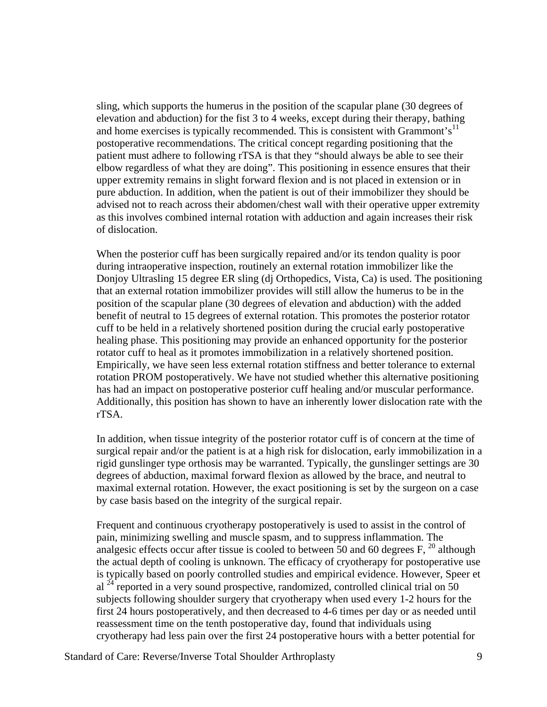sling, which supports the humerus in the position of the scapular plane (30 degrees of elevation and abduction) for the fist 3 to 4 weeks, except during their therapy, bathing and home exercises is typically recommended. This is consistent with Grammont's<sup>11</sup> postoperative recommendations. The critical concept regarding positioning that the patient must adhere to following rTSA is that they "should always be able to see their elbow regardless of what they are doing". This positioning in essence ensures that their upper extremity remains in slight forward flexion and is not placed in extension or in pure abduction. In addition, when the patient is out of their immobilizer they should be advised not to reach across their abdomen/chest wall with their operative upper extremity as this involves combined internal rotation with adduction and again increases their risk of dislocation.

When the posterior cuff has been surgically repaired and/or its tendon quality is poor during intraoperative inspection, routinely an external rotation immobilizer like the Donjoy Ultrasling 15 degree ER sling (dj Orthopedics, Vista, Ca) is used. The positioning that an external rotation immobilizer provides will still allow the humerus to be in the position of the scapular plane (30 degrees of elevation and abduction) with the added benefit of neutral to 15 degrees of external rotation. This promotes the posterior rotator cuff to be held in a relatively shortened position during the crucial early postoperative healing phase. This positioning may provide an enhanced opportunity for the posterior rotator cuff to heal as it promotes immobilization in a relatively shortened position. Empirically, we have seen less external rotation stiffness and better tolerance to external rotation PROM postoperatively. We have not studied whether this alternative positioning has had an impact on postoperative posterior cuff healing and/or muscular performance. Additionally, this position has shown to have an inherently lower dislocation rate with the rTSA.

In addition, when tissue integrity of the posterior rotator cuff is of concern at the time of surgical repair and/or the patient is at a high risk for dislocation, early immobilization in a rigid gunslinger type orthosis may be warranted. Typically, the gunslinger settings are 30 degrees of abduction, maximal forward flexion as allowed by the brace, and neutral to maximal external rotation. However, the exact positioning is set by the surgeon on a case by case basis based on the integrity of the surgical repair.

Frequent and continuous cryotherapy postoperatively is used to assist in the control of pain, minimizing swelling and muscle spasm, and to suppress inflammation. The analgesic effects occur after tissue is cooled to between 50 and 60 degrees  $F$ , <sup>20</sup> although the actual depth of cooling is unknown. The efficacy of cryotherapy for postoperative use is typically based on poorly controlled studies and empirical evidence. However, Speer et al  $^{24}$  reported in a very sound prospective, randomized, controlled clinical trial on 50 subjects following shoulder surgery that cryotherapy when used every 1-2 hours for the first 24 hours postoperatively, and then decreased to 4-6 times per day or as needed until reassessment time on the tenth postoperative day, found that individuals using cryotherapy had less pain over the first 24 postoperative hours with a better potential for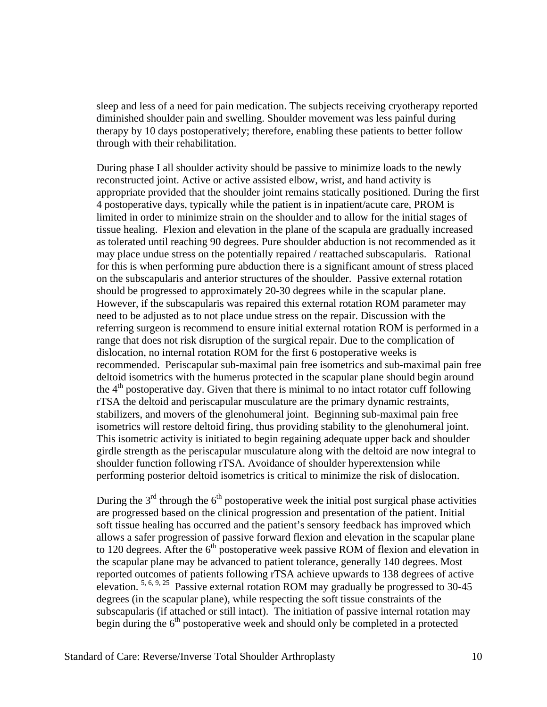sleep and less of a need for pain medication. The subjects receiving cryotherapy reported diminished shoulder pain and swelling. Shoulder movement was less painful during therapy by 10 days postoperatively; therefore, enabling these patients to better follow through with their rehabilitation.

During phase I all shoulder activity should be passive to minimize loads to the newly reconstructed joint. Active or active assisted elbow, wrist, and hand activity is appropriate provided that the shoulder joint remains statically positioned. During the first 4 postoperative days, typically while the patient is in inpatient/acute care, PROM is limited in order to minimize strain on the shoulder and to allow for the initial stages of tissue healing. Flexion and elevation in the plane of the scapula are gradually increased as tolerated until reaching 90 degrees. Pure shoulder abduction is not recommended as it may place undue stress on the potentially repaired / reattached subscapularis. Rational for this is when performing pure abduction there is a significant amount of stress placed on the subscapularis and anterior structures of the shoulder. Passive external rotation should be progressed to approximately 20-30 degrees while in the scapular plane. However, if the subscapularis was repaired this external rotation ROM parameter may need to be adjusted as to not place undue stress on the repair. Discussion with the referring surgeon is recommend to ensure initial external rotation ROM is performed in a range that does not risk disruption of the surgical repair. Due to the complication of dislocation, no internal rotation ROM for the first 6 postoperative weeks is recommended. Periscapular sub-maximal pain free isometrics and sub-maximal pain free deltoid isometrics with the humerus protected in the scapular plane should begin around the  $4<sup>th</sup>$  postoperative day. Given that there is minimal to no intact rotator cuff following rTSA the deltoid and periscapular musculature are the primary dynamic restraints, stabilizers, and movers of the glenohumeral joint. Beginning sub-maximal pain free isometrics will restore deltoid firing, thus providing stability to the glenohumeral joint. This isometric activity is initiated to begin regaining adequate upper back and shoulder girdle strength as the periscapular musculature along with the deltoid are now integral to shoulder function following rTSA. Avoidance of shoulder hyperextension while performing posterior deltoid isometrics is critical to minimize the risk of dislocation.

During the  $3<sup>rd</sup>$  through the  $6<sup>th</sup>$  postoperative week the initial post surgical phase activities are progressed based on the clinical progression and presentation of the patient. Initial soft tissue healing has occurred and the patient's sensory feedback has improved which allows a safer progression of passive forward flexion and elevation in the scapular plane to 120 degrees. After the  $6<sup>th</sup>$  postoperative week passive ROM of flexion and elevation in the scapular plane may be advanced to patient tolerance, generally 140 degrees. Most reported outcomes of patients following rTSA achieve upwards to 138 degrees of active elevation.  $5, 6, 9, 25$  Passive external rotation ROM may gradually be progressed to 30-45 degrees (in the scapular plane), while respecting the soft tissue constraints of the subscapularis (if attached or still intact). The initiation of passive internal rotation may begin during the  $6<sup>th</sup>$  postoperative week and should only be completed in a protected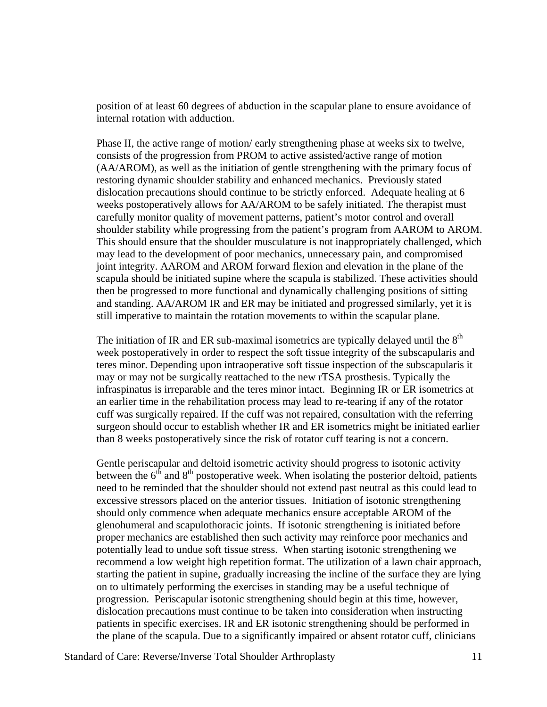position of at least 60 degrees of abduction in the scapular plane to ensure avoidance of internal rotation with adduction.

Phase II, the active range of motion/ early strengthening phase at weeks six to twelve, consists of the progression from PROM to active assisted/active range of motion (AA/AROM), as well as the initiation of gentle strengthening with the primary focus of restoring dynamic shoulder stability and enhanced mechanics. Previously stated dislocation precautions should continue to be strictly enforced. Adequate healing at 6 weeks postoperatively allows for AA/AROM to be safely initiated. The therapist must carefully monitor quality of movement patterns, patient's motor control and overall shoulder stability while progressing from the patient's program from AAROM to AROM. This should ensure that the shoulder musculature is not inappropriately challenged, which may lead to the development of poor mechanics, unnecessary pain, and compromised joint integrity. AAROM and AROM forward flexion and elevation in the plane of the scapula should be initiated supine where the scapula is stabilized. These activities should then be progressed to more functional and dynamically challenging positions of sitting and standing. AA/AROM IR and ER may be initiated and progressed similarly, yet it is still imperative to maintain the rotation movements to within the scapular plane.

The initiation of IR and ER sub-maximal isometrics are typically delayed until the  $8<sup>th</sup>$ week postoperatively in order to respect the soft tissue integrity of the subscapularis and teres minor. Depending upon intraoperative soft tissue inspection of the subscapularis it may or may not be surgically reattached to the new rTSA prosthesis. Typically the infraspinatus is irreparable and the teres minor intact. Beginning IR or ER isometrics at an earlier time in the rehabilitation process may lead to re-tearing if any of the rotator cuff was surgically repaired. If the cuff was not repaired, consultation with the referring surgeon should occur to establish whether IR and ER isometrics might be initiated earlier than 8 weeks postoperatively since the risk of rotator cuff tearing is not a concern.

Gentle periscapular and deltoid isometric activity should progress to isotonic activity between the  $6<sup>th</sup>$  and  $8<sup>th</sup>$  postoperative week. When isolating the posterior deltoid, patients need to be reminded that the shoulder should not extend past neutral as this could lead to excessive stressors placed on the anterior tissues. Initiation of isotonic strengthening should only commence when adequate mechanics ensure acceptable AROM of the glenohumeral and scapulothoracic joints. If isotonic strengthening is initiated before proper mechanics are established then such activity may reinforce poor mechanics and potentially lead to undue soft tissue stress. When starting isotonic strengthening we recommend a low weight high repetition format. The utilization of a lawn chair approach, starting the patient in supine, gradually increasing the incline of the surface they are lying on to ultimately performing the exercises in standing may be a useful technique of progression. Periscapular isotonic strengthening should begin at this time, however, dislocation precautions must continue to be taken into consideration when instructing patients in specific exercises. IR and ER isotonic strengthening should be performed in the plane of the scapula. Due to a significantly impaired or absent rotator cuff, clinicians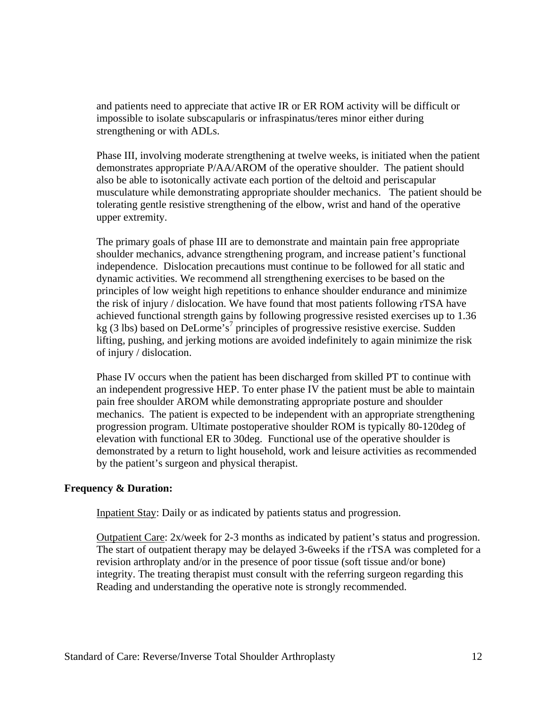and patients need to appreciate that active IR or ER ROM activity will be difficult or impossible to isolate subscapularis or infraspinatus/teres minor either during strengthening or with ADLs.

Phase III, involving moderate strengthening at twelve weeks, is initiated when the patient demonstrates appropriate P/AA/AROM of the operative shoulder. The patient should also be able to isotonically activate each portion of the deltoid and periscapular musculature while demonstrating appropriate shoulder mechanics. The patient should be tolerating gentle resistive strengthening of the elbow, wrist and hand of the operative upper extremity.

The primary goals of phase III are to demonstrate and maintain pain free appropriate shoulder mechanics, advance strengthening program, and increase patient's functional independence. Dislocation precautions must continue to be followed for all static and dynamic activities. We recommend all strengthening exercises to be based on the principles of low weight high repetitions to enhance shoulder endurance and minimize the risk of injury / dislocation. We have found that most patients following rTSA have achieved functional strength gains by following progressive resisted exercises up to 1.36 kg (3 lbs) based on DeLorme's<sup>7</sup> principles of progressive resistive exercise. Sudden lifting, pushing, and jerking motions are avoided indefinitely to again minimize the risk of injury / dislocation.

Phase IV occurs when the patient has been discharged from skilled PT to continue with an independent progressive HEP. To enter phase IV the patient must be able to maintain pain free shoulder AROM while demonstrating appropriate posture and shoulder mechanics. The patient is expected to be independent with an appropriate strengthening progression program. Ultimate postoperative shoulder ROM is typically 80-120deg of elevation with functional ER to 30deg. Functional use of the operative shoulder is demonstrated by a return to light household, work and leisure activities as recommended by the patient's surgeon and physical therapist.

### **Frequency & Duration:**

Inpatient Stay: Daily or as indicated by patients status and progression.

Outpatient Care: 2x/week for 2-3 months as indicated by patient's status and progression. The start of outpatient therapy may be delayed 3-6weeks if the rTSA was completed for a revision arthroplaty and/or in the presence of poor tissue (soft tissue and/or bone) integrity. The treating therapist must consult with the referring surgeon regarding this Reading and understanding the operative note is strongly recommended.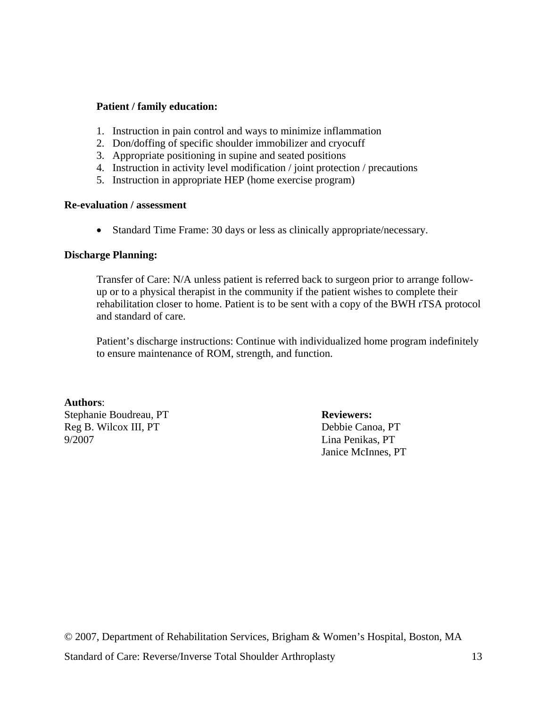## **Patient / family education:**

- 1. Instruction in pain control and ways to minimize inflammation
- 2. Don/doffing of specific shoulder immobilizer and cryocuff
- 3. Appropriate positioning in supine and seated positions
- 4. Instruction in activity level modification / joint protection / precautions
- 5. Instruction in appropriate HEP (home exercise program)

#### **Re-evaluation / assessment**

• Standard Time Frame: 30 days or less as clinically appropriate/necessary.

### **Discharge Planning:**

Transfer of Care: N/A unless patient is referred back to surgeon prior to arrange followup or to a physical therapist in the community if the patient wishes to complete their rehabilitation closer to home. Patient is to be sent with a copy of the BWH rTSA protocol and standard of care.

Patient's discharge instructions: Continue with individualized home program indefinitely to ensure maintenance of ROM, strength, and function.

### **Authors**:

Stephanie Boudreau, PT **Reviewers:** Reg B. Wilcox III, PT Debbie Canoa, PT 9/2007 Lina Penikas, PT

Janice McInnes, PT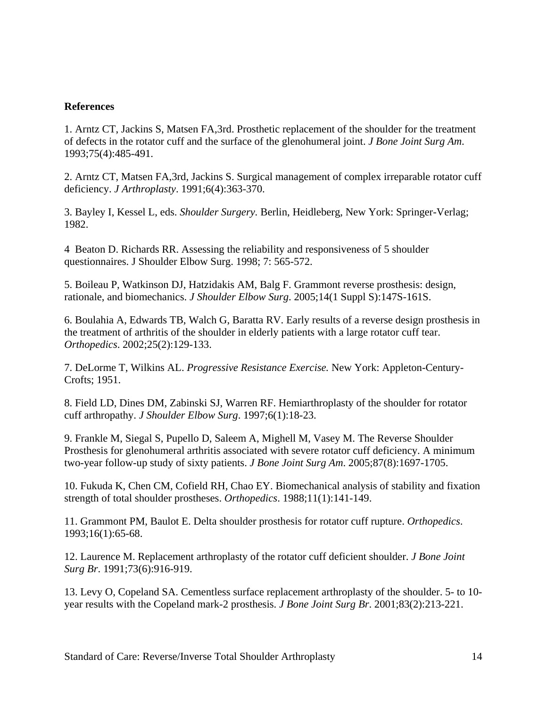# **References**

1. Arntz CT, Jackins S, Matsen FA,3rd. Prosthetic replacement of the shoulder for the treatment of defects in the rotator cuff and the surface of the glenohumeral joint. *J Bone Joint Surg Am*. 1993;75(4):485-491.

2. Arntz CT, Matsen FA,3rd, Jackins S. Surgical management of complex irreparable rotator cuff deficiency. *J Arthroplasty*. 1991;6(4):363-370.

3. Bayley I, Kessel L, eds. *Shoulder Surgery.* Berlin, Heidleberg, New York: Springer-Verlag; 1982.

4 Beaton D. Richards RR. Assessing the reliability and responsiveness of 5 shoulder questionnaires. J Shoulder Elbow Surg. 1998; 7: 565-572.

5. Boileau P, Watkinson DJ, Hatzidakis AM, Balg F. Grammont reverse prosthesis: design, rationale, and biomechanics. *J Shoulder Elbow Surg*. 2005;14(1 Suppl S):147S-161S.

6. Boulahia A, Edwards TB, Walch G, Baratta RV. Early results of a reverse design prosthesis in the treatment of arthritis of the shoulder in elderly patients with a large rotator cuff tear. *Orthopedics*. 2002;25(2):129-133.

7. DeLorme T, Wilkins AL. *Progressive Resistance Exercise.* New York: Appleton-Century-Crofts; 1951.

8. Field LD, Dines DM, Zabinski SJ, Warren RF. Hemiarthroplasty of the shoulder for rotator cuff arthropathy. *J Shoulder Elbow Surg*. 1997;6(1):18-23.

9. Frankle M, Siegal S, Pupello D, Saleem A, Mighell M, Vasey M. The Reverse Shoulder Prosthesis for glenohumeral arthritis associated with severe rotator cuff deficiency. A minimum two-year follow-up study of sixty patients. *J Bone Joint Surg Am*. 2005;87(8):1697-1705.

10. Fukuda K, Chen CM, Cofield RH, Chao EY. Biomechanical analysis of stability and fixation strength of total shoulder prostheses. *Orthopedics*. 1988;11(1):141-149.

11. Grammont PM, Baulot E. Delta shoulder prosthesis for rotator cuff rupture. *Orthopedics*. 1993;16(1):65-68.

12. Laurence M. Replacement arthroplasty of the rotator cuff deficient shoulder. *J Bone Joint Surg Br*. 1991;73(6):916-919.

13. Levy O, Copeland SA. Cementless surface replacement arthroplasty of the shoulder. 5- to 10 year results with the Copeland mark-2 prosthesis. *J Bone Joint Surg Br*. 2001;83(2):213-221.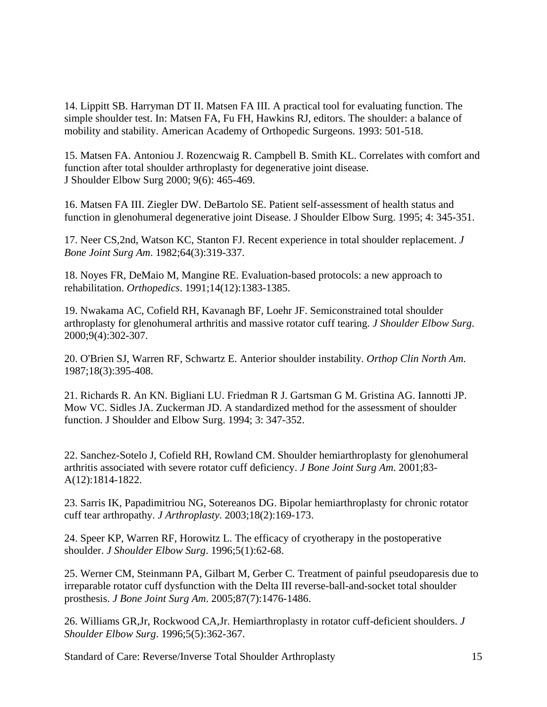14. Lippitt SB. Harryman DT II. Matsen FA III. A practical tool for evaluating function. The simple shoulder test. In: Matsen FA, Fu FH, Hawkins RJ, editors. The shoulder: a balance of mobility and stability. American Academy of Orthopedic Surgeons. 1993: 501-518.

15. Matsen FA. Antoniou J. Rozencwaig R. Campbell B. Smith KL. Correlates with comfort and function after total shoulder arthroplasty for degenerative joint disease. J Shoulder Elbow Surg 2000; 9(6): 465-469.

16. Matsen FA III. Ziegler DW. DeBartolo SE. Patient self-assessment of health status and function in glenohumeral degenerative joint Disease. J Shoulder Elbow Surg. 1995; 4: 345-351.

17. Neer CS,2nd, Watson KC, Stanton FJ. Recent experience in total shoulder replacement. *J Bone Joint Surg Am*. 1982;64(3):319-337.

18. Noyes FR, DeMaio M, Mangine RE. Evaluation-based protocols: a new approach to rehabilitation. *Orthopedics*. 1991;14(12):1383-1385.

19. Nwakama AC, Cofield RH, Kavanagh BF, Loehr JF. Semiconstrained total shoulder arthroplasty for glenohumeral arthritis and massive rotator cuff tearing. *J Shoulder Elbow Surg*. 2000;9(4):302-307.

20. O'Brien SJ, Warren RF, Schwartz E. Anterior shoulder instability. *Orthop Clin North Am*. 1987;18(3):395-408.

21. Richards R. An KN. Bigliani LU. Friedman R J. Gartsman G M. Gristina AG. Iannotti JP. Mow VC. Sidles JA. Zuckerman JD. A standardized method for the assessment of shoulder function. J Shoulder and Elbow Surg. 1994; 3: 347-352.

22. Sanchez-Sotelo J, Cofield RH, Rowland CM. Shoulder hemiarthroplasty for glenohumeral arthritis associated with severe rotator cuff deficiency. *J Bone Joint Surg Am*. 2001;83- A(12):1814-1822.

23. Sarris IK, Papadimitriou NG, Sotereanos DG. Bipolar hemiarthroplasty for chronic rotator cuff tear arthropathy. *J Arthroplasty*. 2003;18(2):169-173.

24. Speer KP, Warren RF, Horowitz L. The efficacy of cryotherapy in the postoperative shoulder. *J Shoulder Elbow Surg*. 1996;5(1):62-68.

25. Werner CM, Steinmann PA, Gilbart M, Gerber C. Treatment of painful pseudoparesis due to irreparable rotator cuff dysfunction with the Delta III reverse-ball-and-socket total shoulder prosthesis. *J Bone Joint Surg Am*. 2005;87(7):1476-1486.

26. Williams GR,Jr, Rockwood CA,Jr. Hemiarthroplasty in rotator cuff-deficient shoulders. *J Shoulder Elbow Surg*. 1996;5(5):362-367.